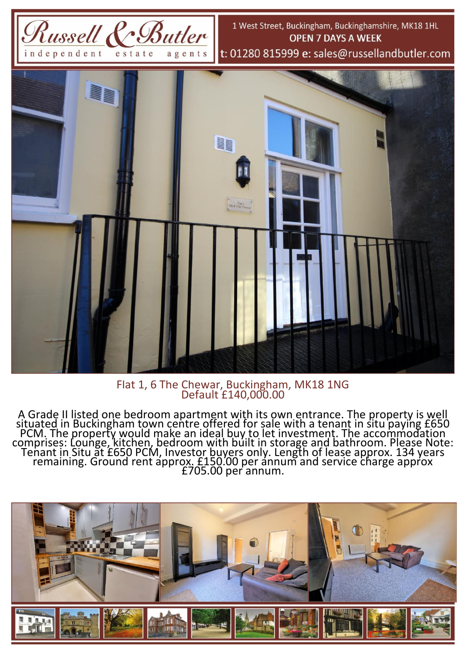

Flat 1, 6 The Chewar, Buckingham, MK18 1NG Default £140,000.00

A Grade II listed one bedroom apartment with its own entrance. The property is well situated in Buckingham town centre offered for sale with a tenant in situ paying £650 PCM. The property would make an ideal buy to let investment. The accommodation comprises: Lounge, kitchen, bedroom with built in storage and bathroom. Please Note: Tenant in Situ at £650 PCM, Investor buyers only. Length of lease approx. 134 years remaining. Ground rent approx. £150.00 per annum and service charge approx £705.00 per annum.

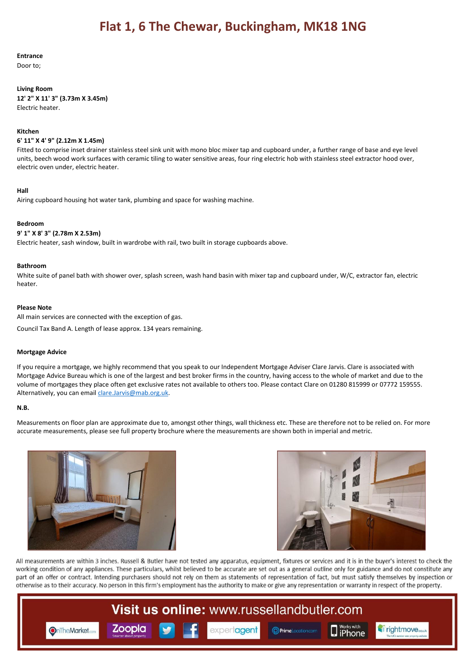### **Entrance**

Door to;

#### **Living Room**

**12' 2" X 11' 3" (3.73m X 3.45m)** Electric heater.

#### **Kitchen**

### **6' 11" X 4' 9" (2.12m X 1.45m)**

Fitted to comprise inset drainer stainless steel sink unit with mono bloc mixer tap and cupboard under, a further range of base and eye level units, beech wood work surfaces with ceramic tiling to water sensitive areas, four ring electric hob with stainless steel extractor hood over, electric oven under, electric heater.

#### **Hall**

Airing cupboard housing hot water tank, plumbing and space for washing machine.

#### **Bedroom**

#### **9' 1" X 8' 3" (2.78m X 2.53m)**

Electric heater, sash window, built in wardrobe with rail, two built in storage cupboards above.

#### **Bathroom**

White suite of panel bath with shower over, splash screen, wash hand basin with mixer tap and cupboard under, W/C, extractor fan, electric heater.

#### **Please Note**

All main services are connected with the exception of gas.

Council Tax Band A. Length of lease approx. 134 years remaining.

# **Mortgage Advice**

If you require a mortgage, we highly recommend that you speak to our Independent Mortgage Adviser Clare Jarvis. Clare is associated with Mortgage Advice Bureau which is one of the largest and best broker firms in the country, having access to the whole of market and due to the volume of mortgages they place often get exclusive rates not available to others too. Please contact Clare on 01280 815999 or 07772 159555. Alternatively, you can emai[l clare.Jarvis@mab.org.uk.](mailto:clare.Jarvis@mab.org.uk)

# **N.B.**

Measurements on floor plan are approximate due to, amongst other things, wall thickness etc. These are therefore not to be relied on. For more accurate measurements, please see full property brochure where the measurements are shown both in imperial and metric.





All measurements are within 3 inches. Russell & Butler have not tested any apparatus, equipment, fixtures or services and it is in the buyer's interest to check the working condition of any appliances. These particulars, whilst believed to be accurate are set out as a general outline only for guidance and do not constitute any part of an offer or contract. Intending purchasers should not rely on them as statements of representation of fact, but must satisfy themselves by inspection or otherwise as to their accuracy. No person in this firm's employment has the authority to make or give any representation or warranty in respect of the property.